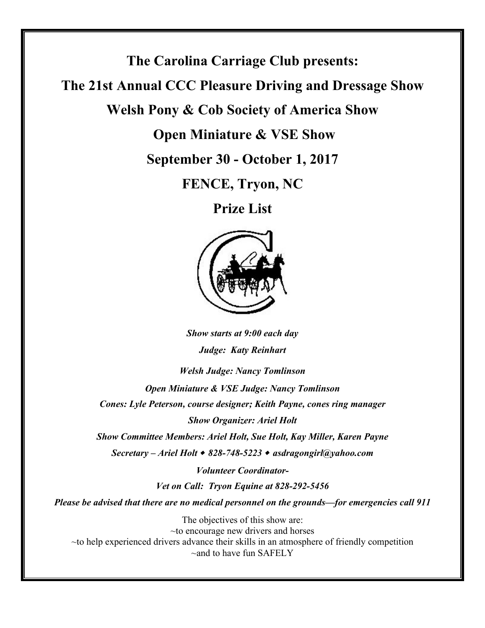**The Carolina Carriage Club presents:** 

**The 21st Annual CCC Pleasure Driving and Dressage Show** 

**Welsh Pony & Cob Society of America Show** 

 **Open Miniature & VSE Show** 

**September 30 - October 1, 2017**

**FENCE, Tryon, NC** 

**Prize List** 



*Show starts at 9:00 each day Judge: Katy Reinhart*

*Welsh Judge: Nancy Tomlinson*

*Open Miniature & VSE Judge: Nancy Tomlinson Cones: Lyle Peterson, course designer; Keith Payne, cones ring manager Show Organizer: Ariel Holt* 

*Show Committee Members: Ariel Holt, Sue Holt, Kay Miller, Karen Payne*

*Secretary – Ariel Holt* <sup>w</sup> *828-748-5223* <sup>w</sup> *asdragongirl@yahoo.com*

*Volunteer Coordinator-Vet on Call: Tryon Equine at 828-292-5456* 

*Please be advised that there are no medical personnel on the grounds—for emergencies call 911* 

The objectives of this show are: ~to encourage new drivers and horses ~to help experienced drivers advance their skills in an atmosphere of friendly competition  $\sim$ and to have fun SAFELY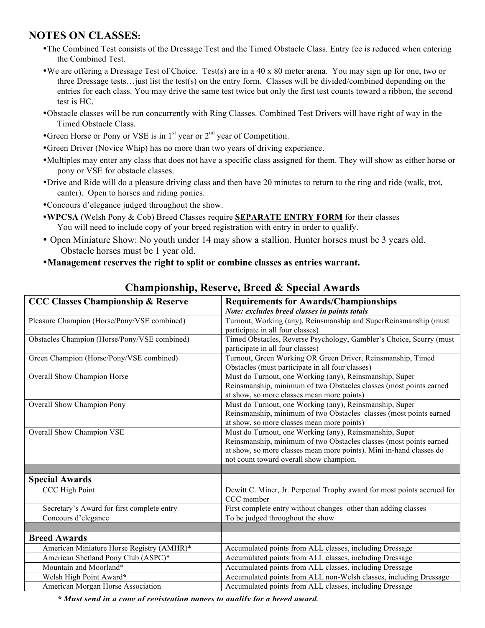# **NOTES ON CLASSES:**

- •The Combined Test consists of the Dressage Test and the Timed Obstacle Class. Entry fee is reduced when entering the Combined Test.
- •We are offering a Dressage Test of Choice. Test(s) are in a 40 x 80 meter arena. You may sign up for one, two or three Dressage tests…just list the test(s) on the entry form. Classes will be divided/combined depending on the entries for each class. You may drive the same test twice but only the first test counts toward a ribbon, the second test is HC.
- •Obstacle classes will be run concurrently with Ring Classes. Combined Test Drivers will have right of way in the Timed Obstacle Class.
- •Green Horse or Pony or VSE is in  $1<sup>st</sup>$  year or  $2<sup>nd</sup>$  year of Competition.
- •Green Driver (Novice Whip) has no more than two years of driving experience.
- •Multiples may enter any class that does not have a specific class assigned for them. They will show as either horse or pony or VSE for obstacle classes.
- •Drive and Ride will do a pleasure driving class and then have 20 minutes to return to the ring and ride (walk, trot, canter). Open to horses and riding ponies.
- •Concours d'elegance judged throughout the show.
- •**WPCSA** (Welsh Pony & Cob) Breed Classes require **SEPARATE ENTRY FORM** for their classes You will need to include copy of your breed registration with entry in order to qualify.
- Open Miniature Show: No youth under 14 may show a stallion. Hunter horses must be 3 years old. Obstacle horses must be 1 year old.
- •**Management reserves the right to split or combine classes as entries warrant.**

| <b>CCC Classes Championship &amp; Reserve</b> | <b>Requirements for Awards/Championships</b>                            |  |  |  |
|-----------------------------------------------|-------------------------------------------------------------------------|--|--|--|
|                                               | Note: excludes breed classes in points totals                           |  |  |  |
| Pleasure Champion (Horse/Pony/VSE combined)   | Turnout, Working (any), Reinsmanship and SuperReinsmanship (must        |  |  |  |
|                                               | participate in all four classes)                                        |  |  |  |
| Obstacles Champion (Horse/Pony/VSE combined)  | Timed Obstacles, Reverse Psychology, Gambler's Choice, Scurry (must     |  |  |  |
|                                               | participate in all four classes)                                        |  |  |  |
| Green Champion (Horse/Pony/VSE combined)      | Turnout, Green Working OR Green Driver, Reinsmanship, Timed             |  |  |  |
|                                               | Obstacles (must participate in all four classes)                        |  |  |  |
| Overall Show Champion Horse                   | Must do Turnout, one Working (any), Reinsmanship, Super                 |  |  |  |
|                                               | Reinsmanship, minimum of two Obstacles classes (most points earned      |  |  |  |
|                                               | at show, so more classes mean more points)                              |  |  |  |
| Overall Show Champion Pony                    | Must do Turnout, one Working (any), Reinsmanship, Super                 |  |  |  |
|                                               | Reinsmanship, minimum of two Obstacles classes (most points earned      |  |  |  |
|                                               | at show, so more classes mean more points)                              |  |  |  |
| Overall Show Champion VSE                     | Must do Turnout, one Working (any), Reinsmanship, Super                 |  |  |  |
|                                               | Reinsmanship, minimum of two Obstacles classes (most points earned      |  |  |  |
|                                               | at show, so more classes mean more points). Mini in-hand classes do     |  |  |  |
|                                               | not count toward overall show champion.                                 |  |  |  |
|                                               |                                                                         |  |  |  |
| <b>Special Awards</b>                         |                                                                         |  |  |  |
| CCC High Point                                | Dewitt C. Miner, Jr. Perpetual Trophy award for most points accrued for |  |  |  |
|                                               | CCC member                                                              |  |  |  |
| Secretary's Award for first complete entry    | First complete entry without changes other than adding classes          |  |  |  |
| Concours d'elegance                           | To be judged throughout the show                                        |  |  |  |
|                                               |                                                                         |  |  |  |
| <b>Breed Awards</b>                           |                                                                         |  |  |  |
| American Miniature Horse Registry (AMHR)*     | Accumulated points from ALL classes, including Dressage                 |  |  |  |
| American Shetland Pony Club (ASPC)*           | Accumulated points from ALL classes, including Dressage                 |  |  |  |
| Mountain and Moorland*                        | Accumulated points from ALL classes, including Dressage                 |  |  |  |
| Welsh High Point Award*                       | Accumulated points from ALL non-Welsh classes, including Dressage       |  |  |  |
| American Morgan Horse Association             | Accumulated points from ALL classes, including Dressage                 |  |  |  |

## **Championship, Reserve, Breed & Special Awards**

*\* Must send in a copy of registration papers to qualify for a breed award.*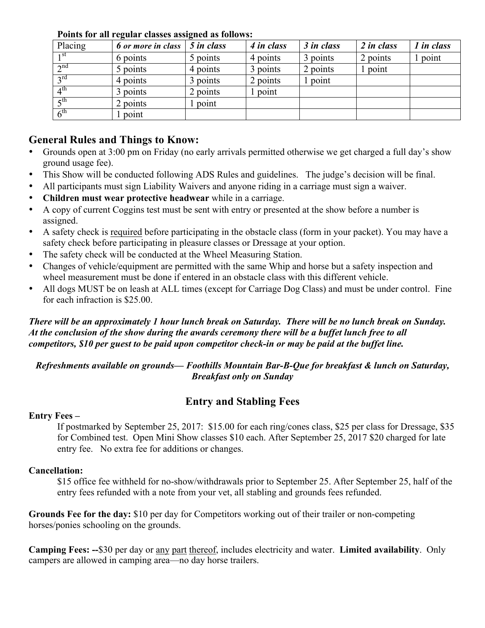| Placing                 | 6 or more in class | 5 in class | 4 in class | 3 in class | 2 in class | 1 in class |
|-------------------------|--------------------|------------|------------|------------|------------|------------|
| 1 <sup>st</sup>         | 6 points           | 5 points   | 4 points   | 3 points   | 2 points   | point      |
| $\gamma$ <sup>nd</sup>  | 5 points           | 4 points   | 3 points   | 2 points   | point      |            |
| 2rd                     | 4 points           | 3 points   | 2 points   | point      |            |            |
| $\varDelta^{\text{th}}$ | 3 points           | 2 points   | point      |            |            |            |
| $\zeta$ <sup>th</sup>   | 2 points           | point      |            |            |            |            |
| $6^{\text{th}}$         | l point            |            |            |            |            |            |

**Points for all regular classes assigned as follows:**

## **General Rules and Things to Know:**

- Grounds open at 3:00 pm on Friday (no early arrivals permitted otherwise we get charged a full day's show ground usage fee).
- This Show will be conducted following ADS Rules and guidelines. The judge's decision will be final.
- All participants must sign Liability Waivers and anyone riding in a carriage must sign a waiver.
- **Children must wear protective headwear** while in a carriage.
- A copy of current Coggins test must be sent with entry or presented at the show before a number is assigned.
- A safety check is required before participating in the obstacle class (form in your packet). You may have a safety check before participating in pleasure classes or Dressage at your option.
- The safety check will be conducted at the Wheel Measuring Station.
- Changes of vehicle/equipment are permitted with the same Whip and horse but a safety inspection and wheel measurement must be done if entered in an obstacle class with this different vehicle.
- All dogs MUST be on leash at ALL times (except for Carriage Dog Class) and must be under control. Fine for each infraction is \$25.00.

### *There will be an approximately 1 hour lunch break on Saturday. There will be no lunch break on Sunday. At the conclusion of the show during the awards ceremony there will be a buffet lunch free to all competitors, \$10 per guest to be paid upon competitor check-in or may be paid at the buffet line.*

*Refreshments available on grounds— Foothills Mountain Bar-B-Que for breakfast & lunch on Saturday, Breakfast only on Sunday*

# **Entry and Stabling Fees**

### **Entry Fees –**

If postmarked by September 25, 2017: \$15.00 for each ring/cones class, \$25 per class for Dressage, \$35 for Combined test. Open Mini Show classes \$10 each. After September 25, 2017 \$20 charged for late entry fee. No extra fee for additions or changes.

### **Cancellation:**

\$15 office fee withheld for no-show/withdrawals prior to September 25. After September 25, half of the entry fees refunded with a note from your vet, all stabling and grounds fees refunded.

**Grounds Fee for the day:** \$10 per day for Competitors working out of their trailer or non-competing horses/ponies schooling on the grounds.

**Camping Fees: --**\$30 per day or any part thereof, includes electricity and water. **Limited availability**. Only campers are allowed in camping area—no day horse trailers.